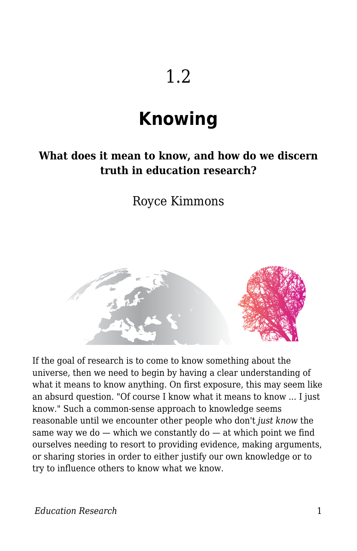# 1.2

# **Knowing**

#### **What does it mean to know, and how do we discern truth in education research?**

Royce Kimmons



If the goal of research is to come to know something about the universe, then we need to begin by having a clear understanding of what it means to know anything. On first exposure, this may seem like an absurd question. "Of course I know what it means to know ... I just know." Such a common-sense approach to knowledge seems reasonable until we encounter other people who don't *just know* the same way we do  $-$  which we constantly do  $-$  at which point we find ourselves needing to resort to providing evidence, making arguments, or sharing stories in order to either justify our own knowledge or to try to influence others to know what we know.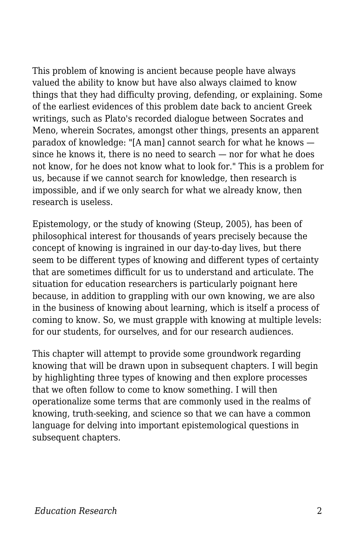This problem of knowing is ancient because people have always valued the ability to know but have also always claimed to know things that they had difficulty proving, defending, or explaining. Some of the earliest evidences of this problem date back to ancient Greek writings, such as Plato's recorded dialogue between Socrates and Meno, wherein Socrates, amongst other things, presents an apparent paradox of knowledge: "[A man] cannot search for what he knows since he knows it, there is no need to search — nor for what he does not know, for he does not know what to look for." This is a problem for us, because if we cannot search for knowledge, then research is impossible, and if we only search for what we already know, then research is useless.

Epistemology, or the study of knowing (Steup, 2005), has been of philosophical interest for thousands of years precisely because the concept of knowing is ingrained in our day-to-day lives, but there seem to be different types of knowing and different types of certainty that are sometimes difficult for us to understand and articulate. The situation for education researchers is particularly poignant here because, in addition to grappling with our own knowing, we are also in the business of knowing about learning, which is itself a process of coming to know. So, we must grapple with knowing at multiple levels: for our students, for ourselves, and for our research audiences.

This chapter will attempt to provide some groundwork regarding knowing that will be drawn upon in subsequent chapters. I will begin by highlighting three types of knowing and then explore processes that we often follow to come to know something. I will then operationalize some terms that are commonly used in the realms of knowing, truth-seeking, and science so that we can have a common language for delving into important epistemological questions in subsequent chapters.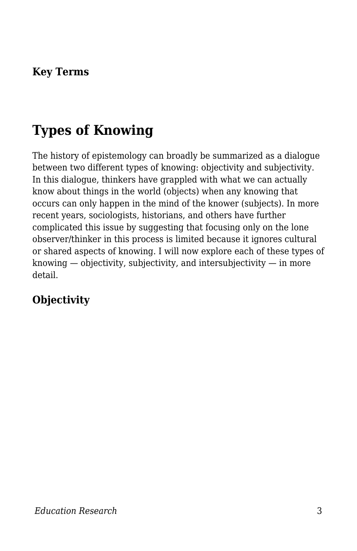#### **Key Terms**

# **Types of Knowing**

The history of epistemology can broadly be summarized as a dialogue between two different types of knowing: objectivity and subjectivity. In this dialogue, thinkers have grappled with what we can actually know about things in the world (objects) when any knowing that occurs can only happen in the mind of the knower (subjects). In more recent years, sociologists, historians, and others have further complicated this issue by suggesting that focusing only on the lone observer/thinker in this process is limited because it ignores cultural or shared aspects of knowing. I will now explore each of these types of knowing  $-$  objectivity, subjectivity, and intersubjectivity  $-$  in more detail.

### **Objectivity**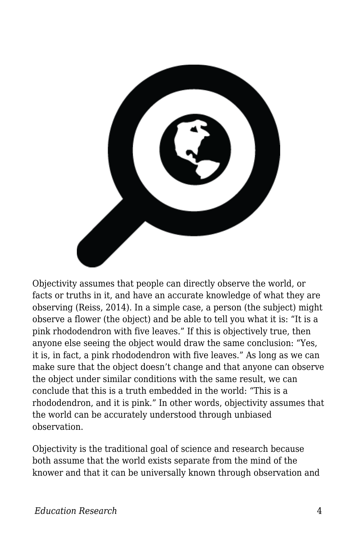

Objectivity assumes that people can directly observe the world, or facts or truths in it, and have an accurate knowledge of what they are observing (Reiss, 2014). In a simple case, a person (the subject) might observe a flower (the object) and be able to tell you what it is: "It is a pink rhododendron with five leaves." If this is objectively true, then anyone else seeing the object would draw the same conclusion: "Yes, it is, in fact, a pink rhododendron with five leaves." As long as we can make sure that the object doesn't change and that anyone can observe the object under similar conditions with the same result, we can conclude that this is a truth embedded in the world: "This is a rhododendron, and it is pink." In other words, objectivity assumes that the world can be accurately understood through unbiased observation.

Objectivity is the traditional goal of science and research because both assume that the world exists separate from the mind of the knower and that it can be universally known through observation and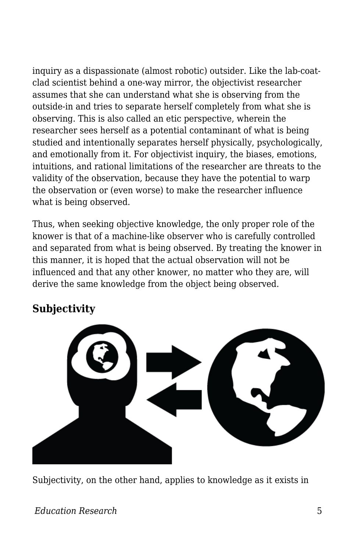inquiry as a dispassionate (almost robotic) outsider. Like the lab-coatclad scientist behind a one-way mirror, the objectivist researcher assumes that she can understand what she is observing from the outside-in and tries to separate herself completely from what she is observing. This is also called an etic perspective, wherein the researcher sees herself as a potential contaminant of what is being studied and intentionally separates herself physically, psychologically, and emotionally from it. For objectivist inquiry, the biases, emotions, intuitions, and rational limitations of the researcher are threats to the validity of the observation, because they have the potential to warp the observation or (even worse) to make the researcher influence what is being observed.

Thus, when seeking objective knowledge, the only proper role of the knower is that of a machine-like observer who is carefully controlled and separated from what is being observed. By treating the knower in this manner, it is hoped that the actual observation will not be influenced and that any other knower, no matter who they are, will derive the same knowledge from the object being observed.

#### **Subjectivity**



Subjectivity, on the other hand, applies to knowledge as it exists in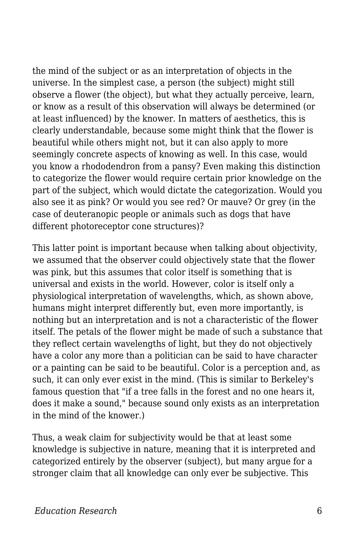the mind of the subject or as an interpretation of objects in the universe. In the simplest case, a person (the subject) might still observe a flower (the object), but what they actually perceive, learn, or know as a result of this observation will always be determined (or at least influenced) by the knower. In matters of aesthetics, this is clearly understandable, because some might think that the flower is beautiful while others might not, but it can also apply to more seemingly concrete aspects of knowing as well. In this case, would you know a rhododendron from a pansy? Even making this distinction to categorize the flower would require certain prior knowledge on the part of the subject, which would dictate the categorization. Would you also see it as pink? Or would you see red? Or mauve? Or grey (in the case of deuteranopic people or animals such as dogs that have different photoreceptor cone structures)?

This latter point is important because when talking about objectivity, we assumed that the observer could objectively state that the flower was pink, but this assumes that color itself is something that is universal and exists in the world. However, color is itself only a physiological interpretation of wavelengths, which, as shown above, humans might interpret differently but, even more importantly, is nothing but an interpretation and is not a characteristic of the flower itself. The petals of the flower might be made of such a substance that they reflect certain wavelengths of light, but they do not objectively have a color any more than a politician can be said to have character or a painting can be said to be beautiful. Color is a perception and, as such, it can only ever exist in the mind. (This is similar to Berkeley's famous question that "if a tree falls in the forest and no one hears it, does it make a sound," because sound only exists as an interpretation in the mind of the knower.)

Thus, a weak claim for subjectivity would be that at least some knowledge is subjective in nature, meaning that it is interpreted and categorized entirely by the observer (subject), but many argue for a stronger claim that all knowledge can only ever be subjective. This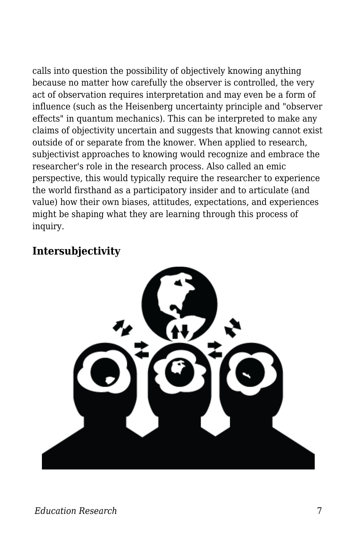calls into question the possibility of objectively knowing anything because no matter how carefully the observer is controlled, the very act of observation requires interpretation and may even be a form of influence (such as the Heisenberg uncertainty principle and "observer effects" in quantum mechanics). This can be interpreted to make any claims of objectivity uncertain and suggests that knowing cannot exist outside of or separate from the knower. When applied to research, subjectivist approaches to knowing would recognize and embrace the researcher's role in the research process. Also called an emic perspective, this would typically require the researcher to experience the world firsthand as a participatory insider and to articulate (and value) how their own biases, attitudes, expectations, and experiences might be shaping what they are learning through this process of inquiry.

#### **Intersubjectivity**

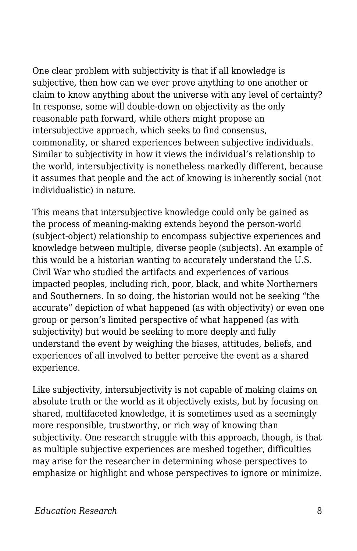One clear problem with subjectivity is that if all knowledge is subjective, then how can we ever prove anything to one another or claim to know anything about the universe with any level of certainty? In response, some will double-down on objectivity as the only reasonable path forward, while others might propose an intersubjective approach, which seeks to find consensus, commonality, or shared experiences between subjective individuals. Similar to subjectivity in how it views the individual's relationship to the world, intersubjectivity is nonetheless markedly different, because it assumes that people and the act of knowing is inherently social (not individualistic) in nature.

This means that intersubjective knowledge could only be gained as the process of meaning-making extends beyond the person-world (subject-object) relationship to encompass subjective experiences and knowledge between multiple, diverse people (subjects). An example of this would be a historian wanting to accurately understand the U.S. Civil War who studied the artifacts and experiences of various impacted peoples, including rich, poor, black, and white Northerners and Southerners. In so doing, the historian would not be seeking "the accurate" depiction of what happened (as with objectivity) or even one group or person's limited perspective of what happened (as with subjectivity) but would be seeking to more deeply and fully understand the event by weighing the biases, attitudes, beliefs, and experiences of all involved to better perceive the event as a shared experience.

Like subjectivity, intersubjectivity is not capable of making claims on absolute truth or the world as it objectively exists, but by focusing on shared, multifaceted knowledge, it is sometimes used as a seemingly more responsible, trustworthy, or rich way of knowing than subjectivity. One research struggle with this approach, though, is that as multiple subjective experiences are meshed together, difficulties may arise for the researcher in determining whose perspectives to emphasize or highlight and whose perspectives to ignore or minimize.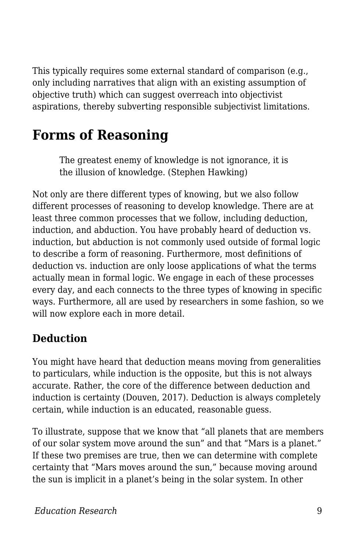This typically requires some external standard of comparison (e.g., only including narratives that align with an existing assumption of objective truth) which can suggest overreach into objectivist aspirations, thereby subverting responsible subjectivist limitations.

# **Forms of Reasoning**

The greatest enemy of knowledge is not ignorance, it is the illusion of knowledge. (Stephen Hawking)

Not only are there different types of knowing, but we also follow different processes of reasoning to develop knowledge. There are at least three common processes that we follow, including deduction, induction, and abduction. You have probably heard of deduction vs. induction, but abduction is not commonly used outside of formal logic to describe a form of reasoning. Furthermore, most definitions of deduction vs. induction are only loose applications of what the terms actually mean in formal logic. We engage in each of these processes every day, and each connects to the three types of knowing in specific ways. Furthermore, all are used by researchers in some fashion, so we will now explore each in more detail.

#### **Deduction**

You might have heard that deduction means moving from generalities to particulars, while induction is the opposite, but this is not always accurate. Rather, the core of the difference between deduction and induction is certainty (Douven, 2017). Deduction is always completely certain, while induction is an educated, reasonable guess.

To illustrate, suppose that we know that "all planets that are members of our solar system move around the sun" and that "Mars is a planet." If these two premises are true, then we can determine with complete certainty that "Mars moves around the sun," because moving around the sun is implicit in a planet's being in the solar system. In other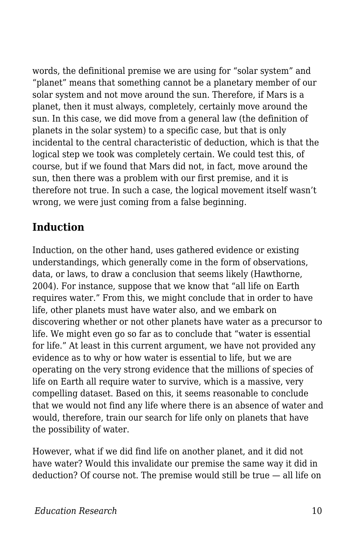words, the definitional premise we are using for "solar system" and "planet" means that something cannot be a planetary member of our solar system and not move around the sun. Therefore, if Mars is a planet, then it must always, completely, certainly move around the sun. In this case, we did move from a general law (the definition of planets in the solar system) to a specific case, but that is only incidental to the central characteristic of deduction, which is that the logical step we took was completely certain. We could test this, of course, but if we found that Mars did not, in fact, move around the sun, then there was a problem with our first premise, and it is therefore not true. In such a case, the logical movement itself wasn't wrong, we were just coming from a false beginning.

### **Induction**

Induction, on the other hand, uses gathered evidence or existing understandings, which generally come in the form of observations, data, or laws, to draw a conclusion that seems likely (Hawthorne, 2004). For instance, suppose that we know that "all life on Earth requires water." From this, we might conclude that in order to have life, other planets must have water also, and we embark on discovering whether or not other planets have water as a precursor to life. We might even go so far as to conclude that "water is essential for life." At least in this current argument, we have not provided any evidence as to why or how water is essential to life, but we are operating on the very strong evidence that the millions of species of life on Earth all require water to survive, which is a massive, very compelling dataset. Based on this, it seems reasonable to conclude that we would not find any life where there is an absence of water and would, therefore, train our search for life only on planets that have the possibility of water.

However, what if we did find life on another planet, and it did not have water? Would this invalidate our premise the same way it did in deduction? Of course not. The premise would still be true — all life on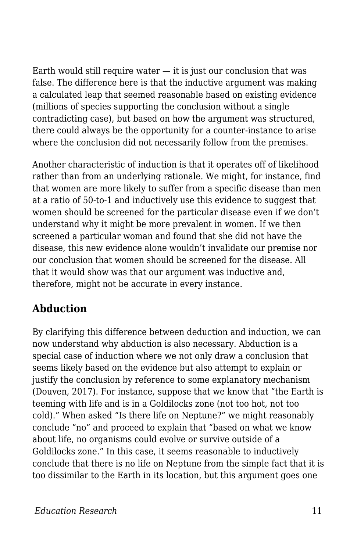Earth would still require water  $-$  it is just our conclusion that was false. The difference here is that the inductive argument was making a calculated leap that seemed reasonable based on existing evidence (millions of species supporting the conclusion without a single contradicting case), but based on how the argument was structured, there could always be the opportunity for a counter-instance to arise where the conclusion did not necessarily follow from the premises.

Another characteristic of induction is that it operates off of likelihood rather than from an underlying rationale. We might, for instance, find that women are more likely to suffer from a specific disease than men at a ratio of 50-to-1 and inductively use this evidence to suggest that women should be screened for the particular disease even if we don't understand why it might be more prevalent in women. If we then screened a particular woman and found that she did not have the disease, this new evidence alone wouldn't invalidate our premise nor our conclusion that women should be screened for the disease. All that it would show was that our argument was inductive and, therefore, might not be accurate in every instance.

#### **Abduction**

By clarifying this difference between deduction and induction, we can now understand why abduction is also necessary. Abduction is a special case of induction where we not only draw a conclusion that seems likely based on the evidence but also attempt to explain or justify the conclusion by reference to some explanatory mechanism (Douven, 2017). For instance, suppose that we know that "the Earth is teeming with life and is in a Goldilocks zone (not too hot, not too cold)." When asked "Is there life on Neptune?" we might reasonably conclude "no" and proceed to explain that "based on what we know about life, no organisms could evolve or survive outside of a Goldilocks zone." In this case, it seems reasonable to inductively conclude that there is no life on Neptune from the simple fact that it is too dissimilar to the Earth in its location, but this argument goes one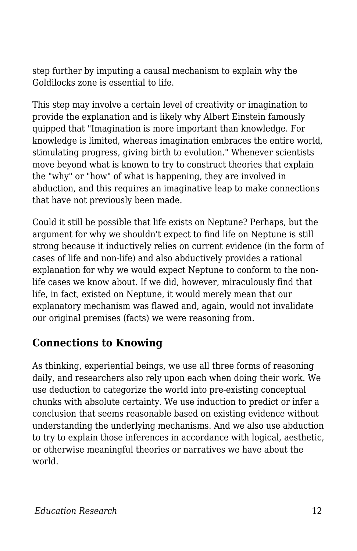step further by imputing a causal mechanism to explain why the Goldilocks zone is essential to life.

This step may involve a certain level of creativity or imagination to provide the explanation and is likely why Albert Einstein famously quipped that "Imagination is more important than knowledge. For knowledge is limited, whereas imagination embraces the entire world, stimulating progress, giving birth to evolution." Whenever scientists move beyond what is known to try to construct theories that explain the "why" or "how" of what is happening, they are involved in abduction, and this requires an imaginative leap to make connections that have not previously been made.

Could it still be possible that life exists on Neptune? Perhaps, but the argument for why we shouldn't expect to find life on Neptune is still strong because it inductively relies on current evidence (in the form of cases of life and non-life) and also abductively provides a rational explanation for why we would expect Neptune to conform to the nonlife cases we know about. If we did, however, miraculously find that life, in fact, existed on Neptune, it would merely mean that our explanatory mechanism was flawed and, again, would not invalidate our original premises (facts) we were reasoning from.

### **Connections to Knowing**

As thinking, experiential beings, we use all three forms of reasoning daily, and researchers also rely upon each when doing their work. We use deduction to categorize the world into pre-existing conceptual chunks with absolute certainty. We use induction to predict or infer a conclusion that seems reasonable based on existing evidence without understanding the underlying mechanisms. And we also use abduction to try to explain those inferences in accordance with logical, aesthetic, or otherwise meaningful theories or narratives we have about the world.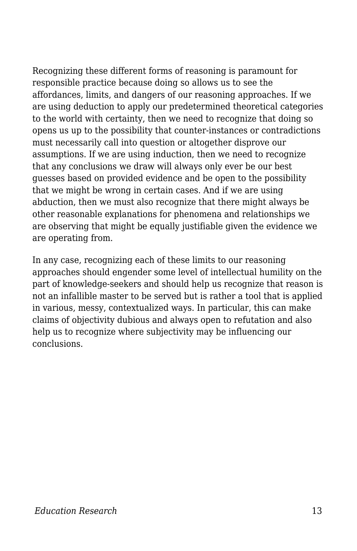Recognizing these different forms of reasoning is paramount for responsible practice because doing so allows us to see the affordances, limits, and dangers of our reasoning approaches. If we are using deduction to apply our predetermined theoretical categories to the world with certainty, then we need to recognize that doing so opens us up to the possibility that counter-instances or contradictions must necessarily call into question or altogether disprove our assumptions. If we are using induction, then we need to recognize that any conclusions we draw will always only ever be our best guesses based on provided evidence and be open to the possibility that we might be wrong in certain cases. And if we are using abduction, then we must also recognize that there might always be other reasonable explanations for phenomena and relationships we are observing that might be equally justifiable given the evidence we are operating from.

In any case, recognizing each of these limits to our reasoning approaches should engender some level of intellectual humility on the part of knowledge-seekers and should help us recognize that reason is not an infallible master to be served but is rather a tool that is applied in various, messy, contextualized ways. In particular, this can make claims of objectivity dubious and always open to refutation and also help us to recognize where subjectivity may be influencing our conclusions.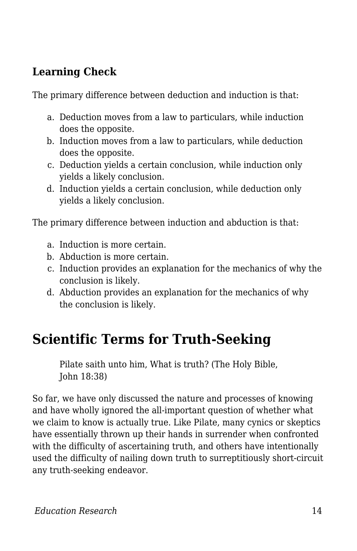### **Learning Check**

The primary difference between deduction and induction is that:

- a. Deduction moves from a law to particulars, while induction does the opposite.
- b. Induction moves from a law to particulars, while deduction does the opposite.
- c. Deduction yields a certain conclusion, while induction only yields a likely conclusion.
- d. Induction yields a certain conclusion, while deduction only yields a likely conclusion.

The primary difference between induction and abduction is that:

- a. Induction is more certain.
- b. Abduction is more certain.
- c. Induction provides an explanation for the mechanics of why the conclusion is likely.
- d. Abduction provides an explanation for the mechanics of why the conclusion is likely.

# **Scientific Terms for Truth-Seeking**

Pilate saith unto him, What is truth? (The Holy Bible, John 18:38)

So far, we have only discussed the nature and processes of knowing and have wholly ignored the all-important question of whether what we claim to know is actually true. Like Pilate, many cynics or skeptics have essentially thrown up their hands in surrender when confronted with the difficulty of ascertaining truth, and others have intentionally used the difficulty of nailing down truth to surreptitiously short-circuit any truth-seeking endeavor.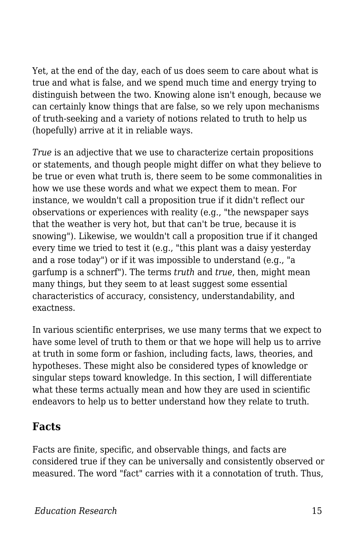Yet, at the end of the day, each of us does seem to care about what is true and what is false, and we spend much time and energy trying to distinguish between the two. Knowing alone isn't enough, because we can certainly know things that are false, so we rely upon mechanisms of truth-seeking and a variety of notions related to truth to help us (hopefully) arrive at it in reliable ways.

*True* is an adjective that we use to characterize certain propositions or statements, and though people might differ on what they believe to be true or even what truth is, there seem to be some commonalities in how we use these words and what we expect them to mean. For instance, we wouldn't call a proposition true if it didn't reflect our observations or experiences with reality (e.g., "the newspaper says that the weather is very hot, but that can't be true, because it is snowing"). Likewise, we wouldn't call a proposition true if it changed every time we tried to test it (e.g., "this plant was a daisy yesterday and a rose today") or if it was impossible to understand (e.g., "a garfump is a schnerf"). The terms *truth* and *true*, then, might mean many things, but they seem to at least suggest some essential characteristics of accuracy, consistency, understandability, and exactness.

In various scientific enterprises, we use many terms that we expect to have some level of truth to them or that we hope will help us to arrive at truth in some form or fashion, including facts, laws, theories, and hypotheses. These might also be considered types of knowledge or singular steps toward knowledge. In this section, I will differentiate what these terms actually mean and how they are used in scientific endeavors to help us to better understand how they relate to truth.

#### **Facts**

Facts are finite, specific, and observable things, and facts are considered true if they can be universally and consistently observed or measured. The word "fact" carries with it a connotation of truth. Thus,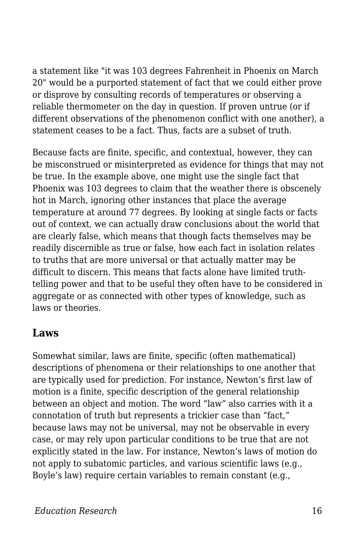a statement like "it was 103 degrees Fahrenheit in Phoenix on March 20" would be a purported statement of fact that we could either prove or disprove by consulting records of temperatures or observing a reliable thermometer on the day in question. If proven untrue (or if different observations of the phenomenon conflict with one another), a statement ceases to be a fact. Thus, facts are a subset of truth.

Because facts are finite, specific, and contextual, however, they can be misconstrued or misinterpreted as evidence for things that may not be true. In the example above, one might use the single fact that Phoenix was 103 degrees to claim that the weather there is obscenely hot in March, ignoring other instances that place the average temperature at around 77 degrees. By looking at single facts or facts out of context, we can actually draw conclusions about the world that are clearly false, which means that though facts themselves may be readily discernible as true or false, how each fact in isolation relates to truths that are more universal or that actually matter may be difficult to discern. This means that facts alone have limited truthtelling power and that to be useful they often have to be considered in aggregate or as connected with other types of knowledge, such as laws or theories.

#### **Laws**

Somewhat similar, laws are finite, specific (often mathematical) descriptions of phenomena or their relationships to one another that are typically used for prediction. For instance, Newton's first law of motion is a finite, specific description of the general relationship between an object and motion. The word "law" also carries with it a connotation of truth but represents a trickier case than "fact," because laws may not be universal, may not be observable in every case, or may rely upon particular conditions to be true that are not explicitly stated in the law. For instance, Newton's laws of motion do not apply to subatomic particles, and various scientific laws (e.g., Boyle's law) require certain variables to remain constant (e.g.,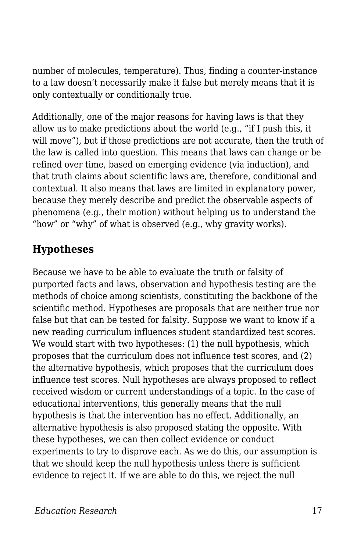number of molecules, temperature). Thus, finding a counter-instance to a law doesn't necessarily make it false but merely means that it is only contextually or conditionally true.

Additionally, one of the major reasons for having laws is that they allow us to make predictions about the world (e.g., "if I push this, it will move"), but if those predictions are not accurate, then the truth of the law is called into question. This means that laws can change or be refined over time, based on emerging evidence (via induction), and that truth claims about scientific laws are, therefore, conditional and contextual. It also means that laws are limited in explanatory power, because they merely describe and predict the observable aspects of phenomena (e.g., their motion) without helping us to understand the "how" or "why" of what is observed (e.g., why gravity works).

### **Hypotheses**

Because we have to be able to evaluate the truth or falsity of purported facts and laws, observation and hypothesis testing are the methods of choice among scientists, constituting the backbone of the scientific method. Hypotheses are proposals that are neither true nor false but that can be tested for falsity. Suppose we want to know if a new reading curriculum influences student standardized test scores. We would start with two hypotheses: (1) the null hypothesis, which proposes that the curriculum does not influence test scores, and (2) the alternative hypothesis, which proposes that the curriculum does influence test scores. Null hypotheses are always proposed to reflect received wisdom or current understandings of a topic. In the case of educational interventions, this generally means that the null hypothesis is that the intervention has no effect. Additionally, an alternative hypothesis is also proposed stating the opposite. With these hypotheses, we can then collect evidence or conduct experiments to try to disprove each. As we do this, our assumption is that we should keep the null hypothesis unless there is sufficient evidence to reject it. If we are able to do this, we reject the null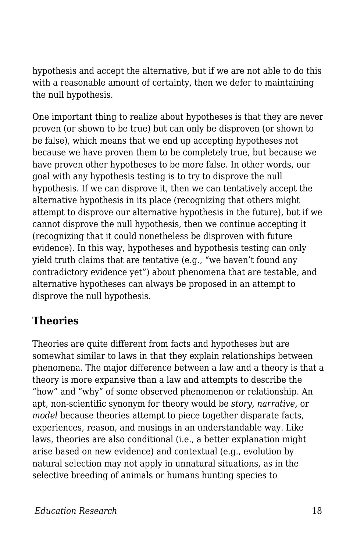hypothesis and accept the alternative, but if we are not able to do this with a reasonable amount of certainty, then we defer to maintaining the null hypothesis.

One important thing to realize about hypotheses is that they are never proven (or shown to be true) but can only be disproven (or shown to be false), which means that we end up accepting hypotheses not because we have proven them to be completely true, but because we have proven other hypotheses to be more false. In other words, our goal with any hypothesis testing is to try to disprove the null hypothesis. If we can disprove it, then we can tentatively accept the alternative hypothesis in its place (recognizing that others might attempt to disprove our alternative hypothesis in the future), but if we cannot disprove the null hypothesis, then we continue accepting it (recognizing that it could nonetheless be disproven with future evidence). In this way, hypotheses and hypothesis testing can only yield truth claims that are tentative (e.g., "we haven't found any contradictory evidence yet") about phenomena that are testable, and alternative hypotheses can always be proposed in an attempt to disprove the null hypothesis.

### **Theories**

Theories are quite different from facts and hypotheses but are somewhat similar to laws in that they explain relationships between phenomena. The major difference between a law and a theory is that a theory is more expansive than a law and attempts to describe the "how" and "why" of some observed phenomenon or relationship. An apt, non-scientific synonym for theory would be *story*, *narrative*, or *model* because theories attempt to piece together disparate facts, experiences, reason, and musings in an understandable way. Like laws, theories are also conditional (i.e., a better explanation might arise based on new evidence) and contextual (e.g., evolution by natural selection may not apply in unnatural situations, as in the selective breeding of animals or humans hunting species to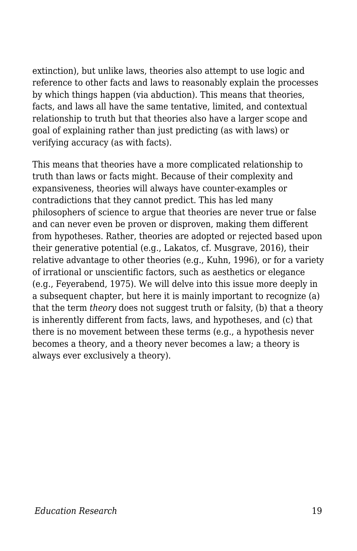extinction), but unlike laws, theories also attempt to use logic and reference to other facts and laws to reasonably explain the processes by which things happen (via abduction). This means that theories, facts, and laws all have the same tentative, limited, and contextual relationship to truth but that theories also have a larger scope and goal of explaining rather than just predicting (as with laws) or verifying accuracy (as with facts).

This means that theories have a more complicated relationship to truth than laws or facts might. Because of their complexity and expansiveness, theories will always have counter-examples or contradictions that they cannot predict. This has led many philosophers of science to argue that theories are never true or false and can never even be proven or disproven, making them different from hypotheses. Rather, theories are adopted or rejected based upon their generative potential (e.g., Lakatos, cf. Musgrave, 2016), their relative advantage to other theories (e.g., Kuhn, 1996), or for a variety of irrational or unscientific factors, such as aesthetics or elegance (e.g., Feyerabend, 1975). We will delve into this issue more deeply in a subsequent chapter, but here it is mainly important to recognize (a) that the term *theory* does not suggest truth or falsity, (b) that a theory is inherently different from facts, laws, and hypotheses, and (c) that there is no movement between these terms (e.g., a hypothesis never becomes a theory, and a theory never becomes a law; a theory is always ever exclusively a theory).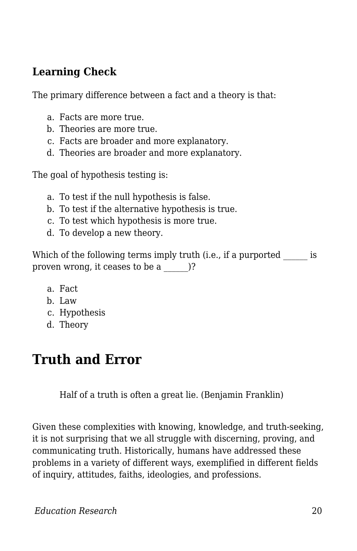#### **Learning Check**

The primary difference between a fact and a theory is that:

- a. Facts are more true.
- b. Theories are more true.
- c. Facts are broader and more explanatory.
- d. Theories are broader and more explanatory.

The goal of hypothesis testing is:

- a. To test if the null hypothesis is false.
- b. To test if the alternative hypothesis is true.
- c. To test which hypothesis is more true.
- d. To develop a new theory.

| Which of the following terms imply truth (i.e., if a purported |  |
|----------------------------------------------------------------|--|
| proven wrong, it ceases to be a                                |  |

- a. Fact
- b. Law
- c. Hypothesis
- d. Theory

## **Truth and Error**

Half of a truth is often a great lie. (Benjamin Franklin)

Given these complexities with knowing, knowledge, and truth-seeking, it is not surprising that we all struggle with discerning, proving, and communicating truth. Historically, humans have addressed these problems in a variety of different ways, exemplified in different fields of inquiry, attitudes, faiths, ideologies, and professions.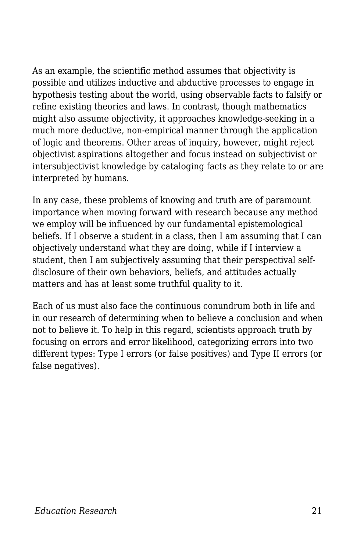As an example, the scientific method assumes that objectivity is possible and utilizes inductive and abductive processes to engage in hypothesis testing about the world, using observable facts to falsify or refine existing theories and laws. In contrast, though mathematics might also assume objectivity, it approaches knowledge-seeking in a much more deductive, non-empirical manner through the application of logic and theorems. Other areas of inquiry, however, might reject objectivist aspirations altogether and focus instead on subjectivist or intersubjectivist knowledge by cataloging facts as they relate to or are interpreted by humans.

In any case, these problems of knowing and truth are of paramount importance when moving forward with research because any method we employ will be influenced by our fundamental epistemological beliefs. If I observe a student in a class, then I am assuming that I can objectively understand what they are doing, while if I interview a student, then I am subjectively assuming that their perspectival selfdisclosure of their own behaviors, beliefs, and attitudes actually matters and has at least some truthful quality to it.

Each of us must also face the continuous conundrum both in life and in our research of determining when to believe a conclusion and when not to believe it. To help in this regard, scientists approach truth by focusing on errors and error likelihood, categorizing errors into two different types: Type I errors (or false positives) and Type II errors (or false negatives).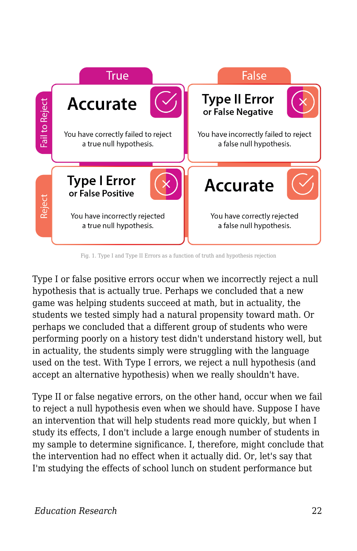

Fig. 1. Type I and Type II Errors as a function of truth and hypothesis rejection

Type I or false positive errors occur when we incorrectly reject a null hypothesis that is actually true. Perhaps we concluded that a new game was helping students succeed at math, but in actuality, the students we tested simply had a natural propensity toward math. Or perhaps we concluded that a different group of students who were performing poorly on a history test didn't understand history well, but in actuality, the students simply were struggling with the language used on the test. With Type I errors, we reject a null hypothesis (and accept an alternative hypothesis) when we really shouldn't have.

Type II or false negative errors, on the other hand, occur when we fail to reject a null hypothesis even when we should have. Suppose I have an intervention that will help students read more quickly, but when I study its effects, I don't include a large enough number of students in my sample to determine significance. I, therefore, might conclude that the intervention had no effect when it actually did. Or, let's say that I'm studying the effects of school lunch on student performance but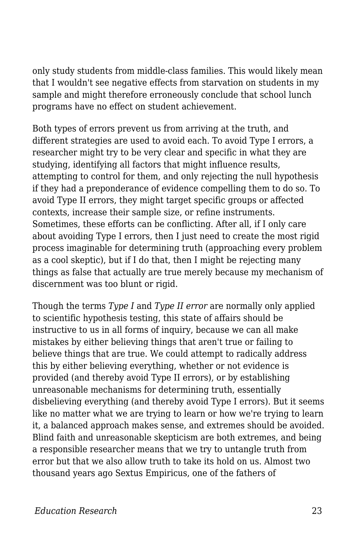only study students from middle-class families. This would likely mean that I wouldn't see negative effects from starvation on students in my sample and might therefore erroneously conclude that school lunch programs have no effect on student achievement.

Both types of errors prevent us from arriving at the truth, and different strategies are used to avoid each. To avoid Type I errors, a researcher might try to be very clear and specific in what they are studying, identifying all factors that might influence results, attempting to control for them, and only rejecting the null hypothesis if they had a preponderance of evidence compelling them to do so. To avoid Type II errors, they might target specific groups or affected contexts, increase their sample size, or refine instruments. Sometimes, these efforts can be conflicting. After all, if I only care about avoiding Type I errors, then I just need to create the most rigid process imaginable for determining truth (approaching every problem as a cool skeptic), but if I do that, then I might be rejecting many things as false that actually are true merely because my mechanism of discernment was too blunt or rigid.

Though the terms *Type I* and *Type II error* are normally only applied to scientific hypothesis testing, this state of affairs should be instructive to us in all forms of inquiry, because we can all make mistakes by either believing things that aren't true or failing to believe things that are true. We could attempt to radically address this by either believing everything, whether or not evidence is provided (and thereby avoid Type II errors), or by establishing unreasonable mechanisms for determining truth, essentially disbelieving everything (and thereby avoid Type I errors). But it seems like no matter what we are trying to learn or how we're trying to learn it, a balanced approach makes sense, and extremes should be avoided. Blind faith and unreasonable skepticism are both extremes, and being a responsible researcher means that we try to untangle truth from error but that we also allow truth to take its hold on us. Almost two thousand years ago Sextus Empiricus, one of the fathers of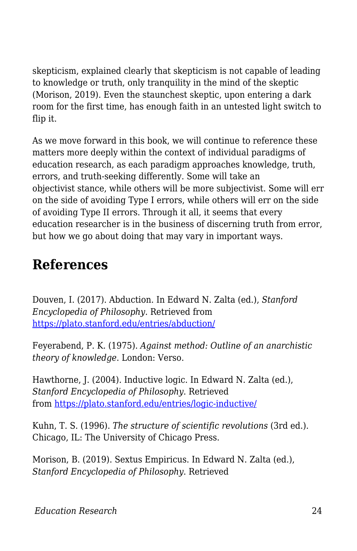skepticism, explained clearly that skepticism is not capable of leading to knowledge or truth, only tranquility in the mind of the skeptic (Morison, 2019). Even the staunchest skeptic, upon entering a dark room for the first time, has enough faith in an untested light switch to flip it.

As we move forward in this book, we will continue to reference these matters more deeply within the context of individual paradigms of education research, as each paradigm approaches knowledge, truth, errors, and truth-seeking differently. Some will take an objectivist stance, while others will be more subjectivist. Some will err on the side of avoiding Type I errors, while others will err on the side of avoiding Type II errors. Through it all, it seems that every education researcher is in the business of discerning truth from error, but how we go about doing that may vary in important ways.

### **References**

Douven, I. (2017). Abduction. In Edward N. Zalta (ed.), *Stanford Encyclopedia of Philosophy*. Retrieved from <https://plato.stanford.edu/entries/abduction/>

Feyerabend, P. K. (1975). *Against method: Outline of an anarchistic theory of knowledge*. London: Verso.

Hawthorne, J. (2004). Inductive logic. In Edward N. Zalta (ed.), *Stanford Encyclopedia of Philosophy*. Retrieved from<https://plato.stanford.edu/entries/logic-inductive/>

Kuhn, T. S. (1996). *The structure of scientific revolutions* (3rd ed.). Chicago, IL: The University of Chicago Press.

Morison, B. (2019). Sextus Empiricus. In Edward N. Zalta (ed.), *Stanford Encyclopedia of Philosophy*. Retrieved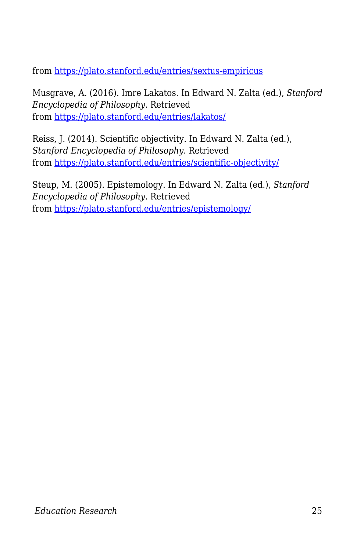from<https://plato.stanford.edu/entries/sextus-empiricus>

Musgrave, A. (2016). Imre Lakatos. In Edward N. Zalta (ed.), *Stanford Encyclopedia of Philosophy*. Retrieved from<https://plato.stanford.edu/entries/lakatos/>

Reiss, J. (2014). Scientific objectivity. In Edward N. Zalta (ed.), *Stanford Encyclopedia of Philosophy*. Retrieved from<https://plato.stanford.edu/entries/scientific-objectivity/>

Steup, M. (2005). Epistemology. In Edward N. Zalta (ed.), *Stanford Encyclopedia of Philosophy*. Retrieved from<https://plato.stanford.edu/entries/epistemology/>